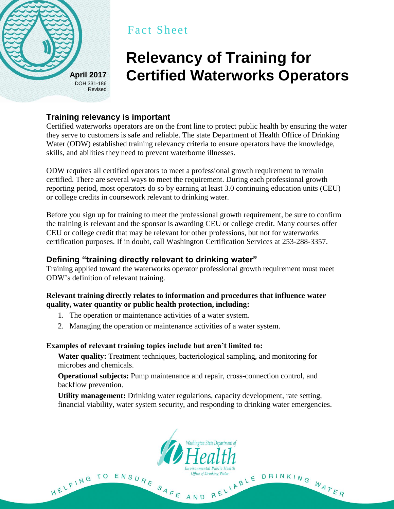

# Fact Sheet

# **Relevancy of Training for April 2017 Certified Waterworks Operators**

# **Training relevancy is important**

Certified waterworks operators are on the front line to protect public health by ensuring the water they serve to customers is safe and reliable. The state Department of Health Office of Drinking Water (ODW) established training relevancy criteria to ensure operators have the knowledge, skills, and abilities they need to prevent waterborne illnesses.

ODW requires all certified operators to meet a professional growth requirement to remain certified. There are several ways to meet the requirement. During each professional growth reporting period, most operators do so by earning at least 3.0 continuing education units (CEU) or college credits in coursework relevant to drinking water.

Before you sign up for training to meet the professional growth requirement, be sure to confirm the training is relevant and the sponsor is awarding CEU or college credit. Many courses offer CEU or college credit that may be relevant for other professions, but not for waterworks certification purposes. If in doubt, call Washington Certification Services at 253-288-3357.

## **Defining "training directly relevant to drinking water"**

Training applied toward the waterworks operator professional growth requirement must meet ODW's definition of relevant training.

#### **Relevant training directly relates to information and procedures that influence water quality, water quantity or public health protection, including:**

- 1. The operation or maintenance activities of a water system.
- 2. Managing the operation or maintenance activities of a water system.

#### **Examples of relevant training topics include but aren't limited to:**

**Water quality:** Treatment techniques, bacteriological sampling, and monitoring for microbes and chemicals.

**Operational subjects:** Pump maintenance and repair, cross-connection control, and backflow prevention.

**Utility management:** Drinking water regulations, capacity development, rate setting, financial viability, water system security, and responding to drinking water emergencies.



AND